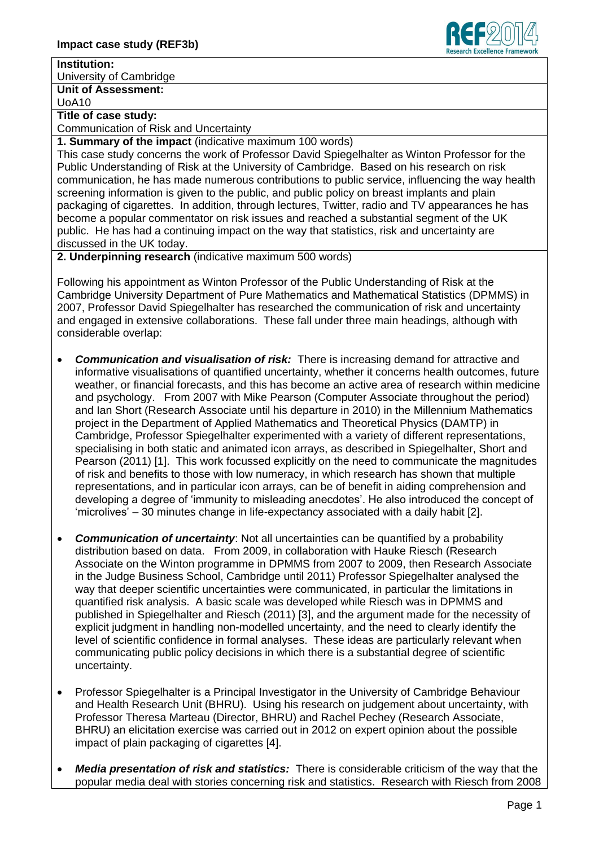

## **Institution:**

University of Cambridge

**Unit of Assessment:**

UoA10

## **Title of case study:**

Communication of Risk and Uncertainty

**1. Summary of the impact** (indicative maximum 100 words)

This case study concerns the work of Professor David Spiegelhalter as Winton Professor for the Public Understanding of Risk at the University of Cambridge. Based on his research on risk communication, he has made numerous contributions to public service, influencing the way health screening information is given to the public, and public policy on breast implants and plain packaging of cigarettes. In addition, through lectures, Twitter, radio and TV appearances he has become a popular commentator on risk issues and reached a substantial segment of the UK public. He has had a continuing impact on the way that statistics, risk and uncertainty are discussed in the UK today.

**2. Underpinning research** (indicative maximum 500 words)

Following his appointment as Winton Professor of the Public Understanding of Risk at the Cambridge University Department of Pure Mathematics and Mathematical Statistics (DPMMS) in 2007, Professor David Spiegelhalter has researched the communication of risk and uncertainty and engaged in extensive collaborations. These fall under three main headings, although with considerable overlap:

- *Communication and visualisation of risk:* There is increasing demand for attractive and informative visualisations of quantified uncertainty, whether it concerns health outcomes, future weather, or financial forecasts, and this has become an active area of research within medicine and psychology. From 2007 with Mike Pearson (Computer Associate throughout the period) and Ian Short (Research Associate until his departure in 2010) in the Millennium Mathematics project in the Department of Applied Mathematics and Theoretical Physics (DAMTP) in Cambridge, Professor Spiegelhalter experimented with a variety of different representations, specialising in both static and animated icon arrays, as described in Spiegelhalter, Short and Pearson (2011) [1]. This work focussed explicitly on the need to communicate the magnitudes of risk and benefits to those with low numeracy, in which research has shown that multiple representations, and in particular icon arrays, can be of benefit in aiding comprehension and developing a degree of 'immunity to misleading anecdotes'. He also introduced the concept of 'microlives' – 30 minutes change in life-expectancy associated with a daily habit [2].
- *Communication of uncertainty*: Not all uncertainties can be quantified by a probability distribution based on data. From 2009, in collaboration with Hauke Riesch (Research Associate on the Winton programme in DPMMS from 2007 to 2009, then Research Associate in the Judge Business School, Cambridge until 2011) Professor Spiegelhalter analysed the way that deeper scientific uncertainties were communicated, in particular the limitations in quantified risk analysis. A basic scale was developed while Riesch was in DPMMS and published in Spiegelhalter and Riesch (2011) [3], and the argument made for the necessity of explicit judgment in handling non-modelled uncertainty, and the need to clearly identify the level of scientific confidence in formal analyses. These ideas are particularly relevant when communicating public policy decisions in which there is a substantial degree of scientific uncertainty.
- Professor Spiegelhalter is a Principal Investigator in the University of Cambridge Behaviour and Health Research Unit (BHRU). Using his research on judgement about uncertainty, with Professor Theresa Marteau (Director, BHRU) and Rachel Pechey (Research Associate, BHRU) an elicitation exercise was carried out in 2012 on expert opinion about the possible impact of plain packaging of cigarettes [4].
- *Media presentation of risk and statistics:* There is considerable criticism of the way that the popular media deal with stories concerning risk and statistics. Research with Riesch from 2008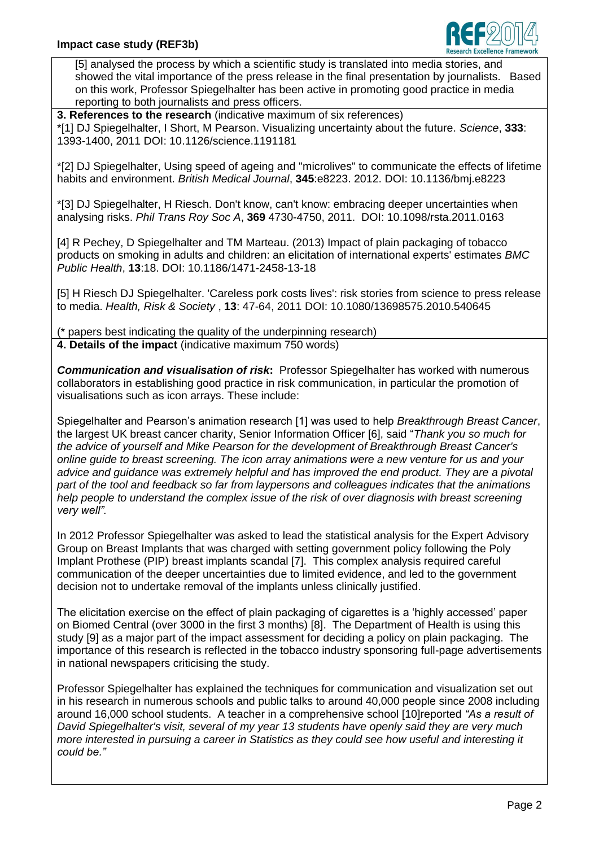

[5] analysed the process by which a scientific study is translated into media stories, and showed the vital importance of the press release in the final presentation by journalists. Based on this work, Professor Spiegelhalter has been active in promoting good practice in media reporting to both journalists and press officers.

**3. References to the research** (indicative maximum of six references) \*[1] DJ Spiegelhalter, I Short, M Pearson. Visualizing uncertainty about the future. *Science*, **333**: 1393-1400, 2011 [DOI: 10.1126/science.1191181](http://dx.doi.org/10.1126/science.1191181)

\*[2] DJ Spiegelhalter, Using speed of ageing and "microlives" to communicate the effects of lifetime habits and environment. *British Medical Journal*, **345**:e8223. 2012. [DOI: 10.1136/bmj.e8223](http://dx.doi.org/10.1136/bmj.e8223)

\*[3] DJ Spiegelhalter, H Riesch. Don't know, can't know: embracing deeper uncertainties when analysing risks. *Phil Trans Roy Soc A*, **369** 4730-4750, 2011. DOI: 10.1098/rsta.2011.0163

[4] R Pechey, D Spiegelhalter and TM Marteau. (2013) Impact of plain packaging of tobacco products on smoking in adults and children: an elicitation of international experts' estimates *BMC Public Health*, **13**:18. DOI: 10.1186/1471-2458-13-18

[5] H Riesch DJ Spiegelhalter. 'Careless pork costs lives': risk stories from science to press release to media. *Health, Risk & Society* , **13**: 47-64, 2011 [DOI: 10.1080/13698575.2010.540645](http://dx.doi.org/10.1080/13698575.2010.540645)

(\* papers best indicating the quality of the underpinning research) **4. Details of the impact** (indicative maximum 750 words)

*Communication and visualisation of risk***:** Professor Spiegelhalter has worked with numerous collaborators in establishing good practice in risk communication, in particular the promotion of visualisations such as icon arrays. These include:

Spiegelhalter and Pearson's animation research [1] was used to help *Breakthrough Breast Cancer*, the largest UK breast cancer charity, Senior Information Officer [6], said "*Thank you so much for the advice of yourself and Mike Pearson for the development of Breakthrough Breast Cancer's online guide to breast screening. The icon array animations were a new venture for us and your advice and guidance was extremely helpful and has improved the end product. They are a pivotal part of the tool and feedback so far from laypersons and colleagues indicates that the animations help people to understand the complex issue of the risk of over diagnosis with breast screening very well".*

In 2012 Professor Spiegelhalter was asked to lead the statistical analysis for the Expert Advisory Group on Breast Implants that was charged with setting government policy following the Poly Implant Prothese (PIP) breast implants scandal [7]. This complex analysis required careful communication of the deeper uncertainties due to limited evidence, and led to the government decision not to undertake removal of the implants unless clinically justified.

The elicitation exercise on the effect of plain packaging of cigarettes is a 'highly accessed' paper on Biomed Central (over 3000 in the first 3 months) [8]. The Department of Health is using this study [9] as a major part of the impact assessment for deciding a policy on plain packaging. The importance of this research is reflected in the tobacco industry sponsoring full-page advertisements in national newspapers criticising the study.

Professor Spiegelhalter has explained the techniques for communication and visualization set out in his research in numerous schools and public talks to around 40,000 people since 2008 including around 16,000 school students. A teacher in a comprehensive school [10]reported *"As a result of David Spiegelhalter's visit, several of my year 13 students have openly said they are very much more interested in pursuing a career in Statistics as they could see how useful and interesting it could be."*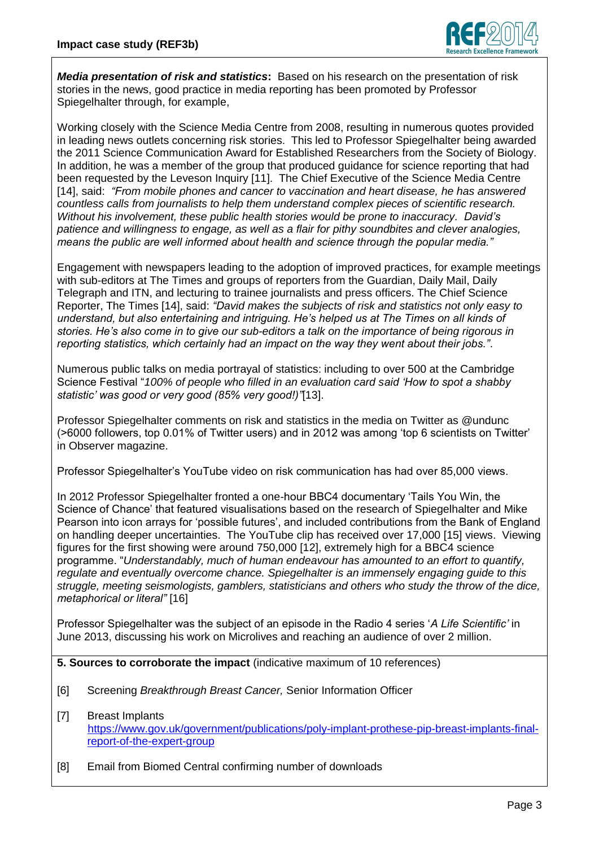

*Media presentation of risk and statistics***:** Based on his research on the presentation of risk stories in the news, good practice in media reporting has been promoted by Professor Spiegelhalter through, for example,

Working closely with the Science Media Centre from 2008, resulting in numerous quotes provided in leading news outlets concerning risk stories. This led to Professor Spiegelhalter being awarded the 2011 Science Communication Award for Established Researchers from the Society of Biology. In addition, he was a member of the group that produced guidance for science reporting that had been requested by the Leveson Inquiry [11]. The Chief Executive of the Science Media Centre [14], said: *"From mobile phones and cancer to vaccination and heart disease, he has answered countless calls from journalists to help them understand complex pieces of scientific research. Without his involvement, these public health stories would be prone to inaccuracy. David's patience and willingness to engage, as well as a flair for pithy soundbites and clever analogies, means the public are well informed about health and science through the popular media."*

Engagement with newspapers leading to the adoption of improved practices, for example meetings with sub-editors at The Times and groups of reporters from the Guardian, Daily Mail, Daily Telegraph and ITN, and lecturing to trainee journalists and press officers. The Chief Science Reporter, The Times [14], said: *"David makes the subjects of risk and statistics not only easy to understand, but also entertaining and intriguing. He's helped us at The Times on all kinds of stories. He's also come in to give our sub-editors a talk on the importance of being rigorous in reporting statistics, which certainly had an impact on the way they went about their jobs."*.

Numerous public talks on media portrayal of statistics: including to over 500 at the Cambridge Science Festival "*100% of people who filled in an evaluation card said 'How to spot a shabby statistic' was good or very good (85% very good!)"*[13].

Professor Spiegelhalter comments on risk and statistics in the media on Twitter as @undunc (>6000 followers, top 0.01% of Twitter users) and in 2012 was among 'top 6 scientists on Twitter' in Observer magazine.

Professor Spiegelhalter's YouTube video on risk communication has had over 85,000 views.

In 2012 Professor Spiegelhalter fronted a one-hour BBC4 documentary 'Tails You Win, the Science of Chance' that featured visualisations based on the research of Spiegelhalter and Mike Pearson into icon arrays for 'possible futures', and included contributions from the Bank of England on handling deeper uncertainties. The YouTube clip has received over 17,000 [15] views. Viewing figures for the first showing were around 750,000 [12], extremely high for a BBC4 science programme. "*Understandably, much of human endeavour has amounted to an effort to quantify, regulate and eventually overcome chance. Spiegelhalter is an immensely engaging guide to this struggle, meeting seismologists, gamblers, statisticians and others who study the throw of the dice, metaphorical or literal"* [16]

Professor Spiegelhalter was the subject of an episode in the Radio 4 series '*A Life Scientific'* in June 2013, discussing his work on Microlives and reaching an audience of over 2 million.

**5. Sources to corroborate the impact** (indicative maximum of 10 references)

- [6] Screening *Breakthrough Breast Cancer,* Senior Information Officer
- [7] Breast Implants [https://www.gov.uk/government/publications/poly-implant-prothese-pip-breast-implants-final](https://www.gov.uk/government/publications/poly-implant-prothese-pip-breast-implants-final-report-of-the-expert-group)[report-of-the-expert-group](https://www.gov.uk/government/publications/poly-implant-prothese-pip-breast-implants-final-report-of-the-expert-group)
- [8] Email from Biomed Central confirming number of downloads